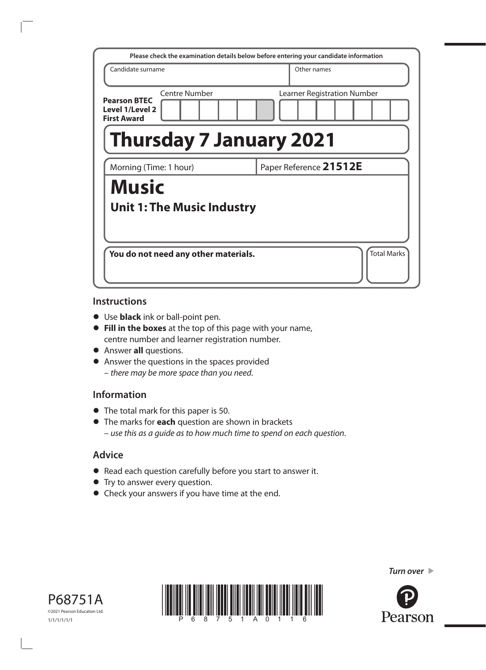| Please check the examination details below before entering your candidate information |                             |  |  |  |  |  |
|---------------------------------------------------------------------------------------|-----------------------------|--|--|--|--|--|
| Candidate surname                                                                     | Other names                 |  |  |  |  |  |
| <b>Centre Number</b><br><b>Pearson BTEC</b><br>Level 1/Level 2<br><b>First Award</b>  | Learner Registration Number |  |  |  |  |  |
| <b>Thursday 7 January 2021</b>                                                        |                             |  |  |  |  |  |
| Paper Reference 21512E<br>Morning (Time: 1 hour)                                      |                             |  |  |  |  |  |
| <b>Music</b><br><b>Unit 1: The Music Industry</b>                                     |                             |  |  |  |  |  |
| You do not need any other materials.                                                  | <b>Total Marks</b>          |  |  |  |  |  |

#### **Instructions**

- **•** Use **black** ink or ball-point pen.
- **• Fill in the boxes** at the top of this page with your name, centre number and learner registration number.
- **•** Answer **all** questions.
- **•** Answer the questions in the spaces provided – *there may be more space than you need*.

# **Information**

- **•** The total mark for this paper is 50.
- **•** The marks for **each** question are shown in brackets – *use this as a guide as to how much time to spend on each question*.

# **Advice**

- **•** Read each question carefully before you start to answer it.
- **•** Try to answer every question.
- **•** Check your answers if you have time at the end.





*Turn over* 

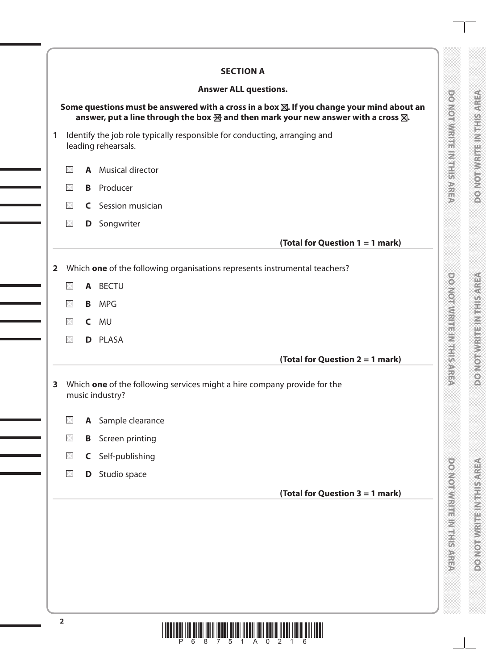| <b>Answer ALL questions.</b><br>provider with the National Section<br>Some questions must be answered with a cross in a box $\boxtimes$ . If you change your mind about an<br>answer, put a line through the box $\boxtimes$ and then mark your new answer with a cross $\boxtimes$ .<br>Identify the job role typically responsible for conducting, arranging and<br>leading rehearsals.<br><b>Musical director</b><br>$\times$<br>A<br>Producer<br>×<br>B<br>$\times$<br>Session musician<br>C.<br>$\bowtie$<br><b>D</b> Songwriter<br>(Total for Question 1 = 1 mark)<br>Which one of the following organisations represents instrumental teachers?<br><b>PONDANT PRODUCT</b><br>A BECTU<br><b>MPG</b><br>$>\left\vert \right\rangle$<br>B<br>C MU<br>X<br><b>D</b> PLASA<br>$\mathbb{X}$<br>(Total for Question 2 = 1 mark)<br>実<br>ŽŬ<br>Which one of the following services might a hire company provide for the<br>music industry?<br>Sample clearance<br>$\boxtimes$<br>A<br>Screen printing<br>$\boxtimes$<br>Β<br>Self-publishing<br>$\boxtimes$<br>C<br>Studio space<br>$\boxtimes$<br>D<br>(Total for Question 3 = 1 mark) |                |  | <b>SECTION A</b> |                                  |  |
|----------------------------------------------------------------------------------------------------------------------------------------------------------------------------------------------------------------------------------------------------------------------------------------------------------------------------------------------------------------------------------------------------------------------------------------------------------------------------------------------------------------------------------------------------------------------------------------------------------------------------------------------------------------------------------------------------------------------------------------------------------------------------------------------------------------------------------------------------------------------------------------------------------------------------------------------------------------------------------------------------------------------------------------------------------------------------------------------------------------------------------------|----------------|--|------------------|----------------------------------|--|
|                                                                                                                                                                                                                                                                                                                                                                                                                                                                                                                                                                                                                                                                                                                                                                                                                                                                                                                                                                                                                                                                                                                                        |                |  |                  |                                  |  |
|                                                                                                                                                                                                                                                                                                                                                                                                                                                                                                                                                                                                                                                                                                                                                                                                                                                                                                                                                                                                                                                                                                                                        |                |  |                  |                                  |  |
|                                                                                                                                                                                                                                                                                                                                                                                                                                                                                                                                                                                                                                                                                                                                                                                                                                                                                                                                                                                                                                                                                                                                        | $\mathbf{1}$   |  |                  |                                  |  |
|                                                                                                                                                                                                                                                                                                                                                                                                                                                                                                                                                                                                                                                                                                                                                                                                                                                                                                                                                                                                                                                                                                                                        |                |  |                  |                                  |  |
|                                                                                                                                                                                                                                                                                                                                                                                                                                                                                                                                                                                                                                                                                                                                                                                                                                                                                                                                                                                                                                                                                                                                        |                |  |                  |                                  |  |
|                                                                                                                                                                                                                                                                                                                                                                                                                                                                                                                                                                                                                                                                                                                                                                                                                                                                                                                                                                                                                                                                                                                                        |                |  |                  |                                  |  |
|                                                                                                                                                                                                                                                                                                                                                                                                                                                                                                                                                                                                                                                                                                                                                                                                                                                                                                                                                                                                                                                                                                                                        |                |  |                  |                                  |  |
|                                                                                                                                                                                                                                                                                                                                                                                                                                                                                                                                                                                                                                                                                                                                                                                                                                                                                                                                                                                                                                                                                                                                        |                |  |                  |                                  |  |
|                                                                                                                                                                                                                                                                                                                                                                                                                                                                                                                                                                                                                                                                                                                                                                                                                                                                                                                                                                                                                                                                                                                                        | $\overline{2}$ |  |                  |                                  |  |
|                                                                                                                                                                                                                                                                                                                                                                                                                                                                                                                                                                                                                                                                                                                                                                                                                                                                                                                                                                                                                                                                                                                                        |                |  |                  |                                  |  |
|                                                                                                                                                                                                                                                                                                                                                                                                                                                                                                                                                                                                                                                                                                                                                                                                                                                                                                                                                                                                                                                                                                                                        |                |  |                  |                                  |  |
|                                                                                                                                                                                                                                                                                                                                                                                                                                                                                                                                                                                                                                                                                                                                                                                                                                                                                                                                                                                                                                                                                                                                        |                |  |                  |                                  |  |
|                                                                                                                                                                                                                                                                                                                                                                                                                                                                                                                                                                                                                                                                                                                                                                                                                                                                                                                                                                                                                                                                                                                                        |                |  |                  |                                  |  |
|                                                                                                                                                                                                                                                                                                                                                                                                                                                                                                                                                                                                                                                                                                                                                                                                                                                                                                                                                                                                                                                                                                                                        |                |  |                  |                                  |  |
|                                                                                                                                                                                                                                                                                                                                                                                                                                                                                                                                                                                                                                                                                                                                                                                                                                                                                                                                                                                                                                                                                                                                        |                |  |                  |                                  |  |
|                                                                                                                                                                                                                                                                                                                                                                                                                                                                                                                                                                                                                                                                                                                                                                                                                                                                                                                                                                                                                                                                                                                                        | 3              |  |                  |                                  |  |
|                                                                                                                                                                                                                                                                                                                                                                                                                                                                                                                                                                                                                                                                                                                                                                                                                                                                                                                                                                                                                                                                                                                                        |                |  |                  |                                  |  |
|                                                                                                                                                                                                                                                                                                                                                                                                                                                                                                                                                                                                                                                                                                                                                                                                                                                                                                                                                                                                                                                                                                                                        |                |  |                  |                                  |  |
|                                                                                                                                                                                                                                                                                                                                                                                                                                                                                                                                                                                                                                                                                                                                                                                                                                                                                                                                                                                                                                                                                                                                        |                |  |                  |                                  |  |
|                                                                                                                                                                                                                                                                                                                                                                                                                                                                                                                                                                                                                                                                                                                                                                                                                                                                                                                                                                                                                                                                                                                                        |                |  |                  |                                  |  |
|                                                                                                                                                                                                                                                                                                                                                                                                                                                                                                                                                                                                                                                                                                                                                                                                                                                                                                                                                                                                                                                                                                                                        |                |  |                  |                                  |  |
|                                                                                                                                                                                                                                                                                                                                                                                                                                                                                                                                                                                                                                                                                                                                                                                                                                                                                                                                                                                                                                                                                                                                        |                |  |                  |                                  |  |
|                                                                                                                                                                                                                                                                                                                                                                                                                                                                                                                                                                                                                                                                                                                                                                                                                                                                                                                                                                                                                                                                                                                                        |                |  |                  |                                  |  |
|                                                                                                                                                                                                                                                                                                                                                                                                                                                                                                                                                                                                                                                                                                                                                                                                                                                                                                                                                                                                                                                                                                                                        |                |  |                  | <b>DOMORAL REPAIRS AND MEANS</b> |  |

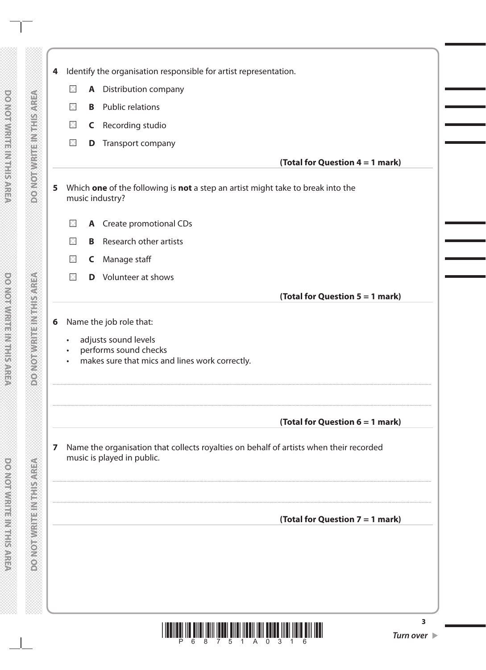|                        | A            | Distribution company                                                                                                 |
|------------------------|--------------|----------------------------------------------------------------------------------------------------------------------|
| $\times$               |              | <b>B</b> Public relations                                                                                            |
| $\times$               | $\mathsf{C}$ | Recording studio                                                                                                     |
| $\times$               | D            | <b>Transport company</b>                                                                                             |
|                        |              | (Total for Question 4 = 1 mark)                                                                                      |
|                        |              | Which one of the following is not a step an artist might take to break into the<br>music industry?                   |
| $\times$               |              | A Create promotional CDs                                                                                             |
| $\times$               | B            | Research other artists                                                                                               |
| $\times$               | C            | Manage staff                                                                                                         |
| $\times$               |              | <b>D</b> Volunteer at shows                                                                                          |
|                        |              | (Total for Question 5 = 1 mark)                                                                                      |
| $\bullet$<br>$\bullet$ |              | performs sound checks<br>makes sure that mics and lines work correctly.                                              |
|                        |              |                                                                                                                      |
|                        |              | (Total for Question 6 = 1 mark)                                                                                      |
|                        |              | Name the organisation that collects royalties on behalf of artists when their recorded<br>music is played in public. |

\*P68751A0316\* *Turn over*  **3**

٤

 $\perp$ 

**DO NOT WRITE IN THIS AREA**

**DOMOTWRITEINTHEAREA** 

 $\mathbb{R}^n$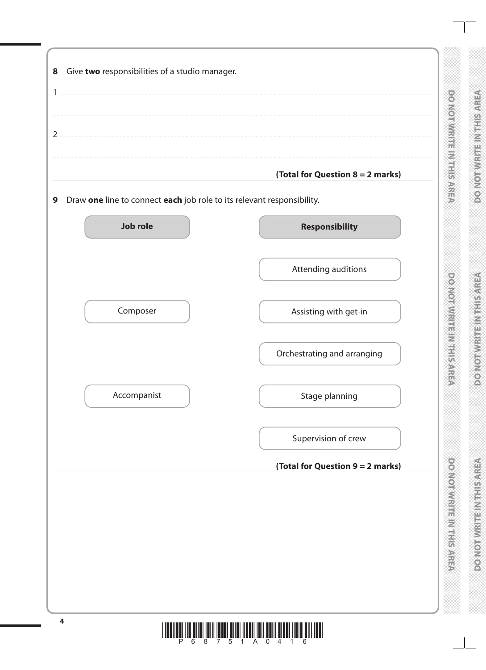| Give two responsibilities of a studio manager.<br>8<br>2<br>Draw one line to connect each job role to its relevant responsibility.<br>9 | (Total for Question 8 = 2 marks) | <b>DOMOTOWICE INTERNET</b>  | <b>DONORWATER NEEDS AT 2</b>   |
|-----------------------------------------------------------------------------------------------------------------------------------------|----------------------------------|-----------------------------|--------------------------------|
| Job role                                                                                                                                | Responsibility                   |                             |                                |
|                                                                                                                                         | Attending auditions              | 8                           |                                |
| Composer                                                                                                                                | Assisting with get-in            |                             |                                |
|                                                                                                                                         | Orchestrating and arranging      | NOTAWRITENNIST<br>2)<br>fr  | <b>RESERVE ENGINEERING</b>     |
| Accompanist                                                                                                                             | Stage planning                   |                             |                                |
|                                                                                                                                         | Supervision of crew              |                             |                                |
|                                                                                                                                         | (Total for Question 9 = 2 marks) | <b>DOMONICIAL STRAIGHTS</b> | <b>MONOTAL REGISTER ON GAS</b> |

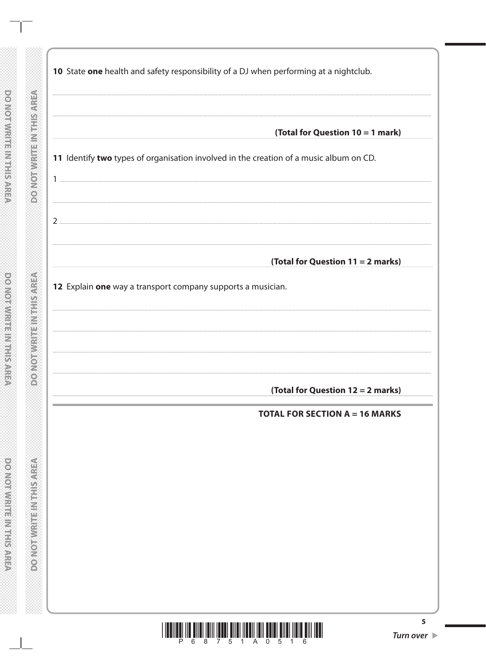|              | (Total for Question 10 = 1 mark)                                                       |
|--------------|----------------------------------------------------------------------------------------|
|              | 11 Identify two types of organisation involved in the creation of a music album on CD. |
| $1_{\ldots}$ |                                                                                        |
| $2$          |                                                                                        |
|              | (Total for Question 11 = 2 marks)                                                      |
|              | 12 Explain one way a transport company supports a musician.                            |
|              |                                                                                        |
|              |                                                                                        |
|              | (Total for Question 12 = 2 marks)                                                      |
|              | <b>TOTAL FOR SECTION A = 16 MARKS</b>                                                  |
|              |                                                                                        |
|              |                                                                                        |
|              |                                                                                        |
|              |                                                                                        |
|              |                                                                                        |
|              |                                                                                        |
|              |                                                                                        |

**DOMOTWRITE INTHIE AREA** 

**DOOMOTUMRITEINTHISAREA** 

**DOMOTIVIRIUS IN THIS AREA** 

 $\Box$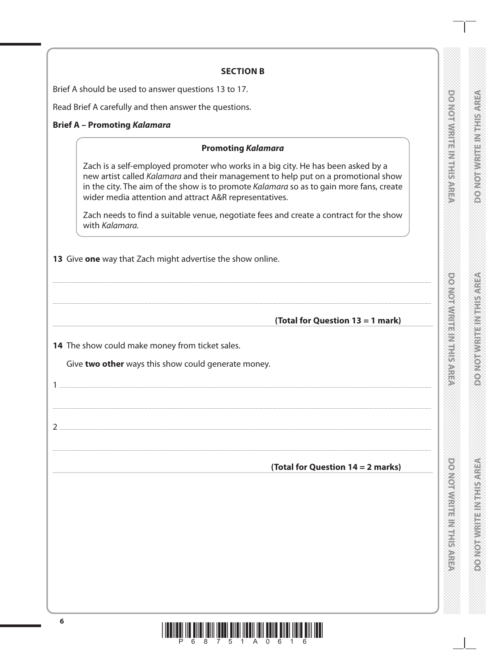|   | <b>SECTION B</b>                                                                                                                                                                                                                                                                                                           |                                     |  |
|---|----------------------------------------------------------------------------------------------------------------------------------------------------------------------------------------------------------------------------------------------------------------------------------------------------------------------------|-------------------------------------|--|
|   | Brief A should be used to answer questions 13 to 17.                                                                                                                                                                                                                                                                       |                                     |  |
|   | Read Brief A carefully and then answer the questions.                                                                                                                                                                                                                                                                      |                                     |  |
|   | <b>Brief A - Promoting Kalamara</b>                                                                                                                                                                                                                                                                                        |                                     |  |
|   | <b>Promoting Kalamara</b>                                                                                                                                                                                                                                                                                                  |                                     |  |
|   | Zach is a self-employed promoter who works in a big city. He has been asked by a<br>new artist called Kalamara and their management to help put on a promotional show<br>in the city. The aim of the show is to promote Kalamara so as to gain more fans, create<br>wider media attention and attract A&R representatives. | <b>ONOrman Prediction Provide</b>   |  |
|   | Zach needs to find a suitable venue, negotiate fees and create a contract for the show<br>with Kalamara.                                                                                                                                                                                                                   |                                     |  |
|   | 13 Give one way that Zach might advertise the show online.                                                                                                                                                                                                                                                                 | <b>DOINGTHEFT</b>                   |  |
|   | (Total for Question 13 = 1 mark)                                                                                                                                                                                                                                                                                           |                                     |  |
|   | 14 The show could make money from ticket sales.                                                                                                                                                                                                                                                                            |                                     |  |
|   | Give two other ways this show could generate money.                                                                                                                                                                                                                                                                        |                                     |  |
|   |                                                                                                                                                                                                                                                                                                                            |                                     |  |
|   |                                                                                                                                                                                                                                                                                                                            |                                     |  |
|   |                                                                                                                                                                                                                                                                                                                            |                                     |  |
| 2 |                                                                                                                                                                                                                                                                                                                            |                                     |  |
|   |                                                                                                                                                                                                                                                                                                                            |                                     |  |
|   | (Total for Question 14 = 2 marks)                                                                                                                                                                                                                                                                                          |                                     |  |
|   |                                                                                                                                                                                                                                                                                                                            |                                     |  |
|   |                                                                                                                                                                                                                                                                                                                            |                                     |  |
|   |                                                                                                                                                                                                                                                                                                                            | <b>DONORMAN ESTABLE AND PRESENT</b> |  |
|   |                                                                                                                                                                                                                                                                                                                            |                                     |  |
|   |                                                                                                                                                                                                                                                                                                                            |                                     |  |
|   |                                                                                                                                                                                                                                                                                                                            |                                     |  |
|   |                                                                                                                                                                                                                                                                                                                            |                                     |  |
|   |                                                                                                                                                                                                                                                                                                                            |                                     |  |

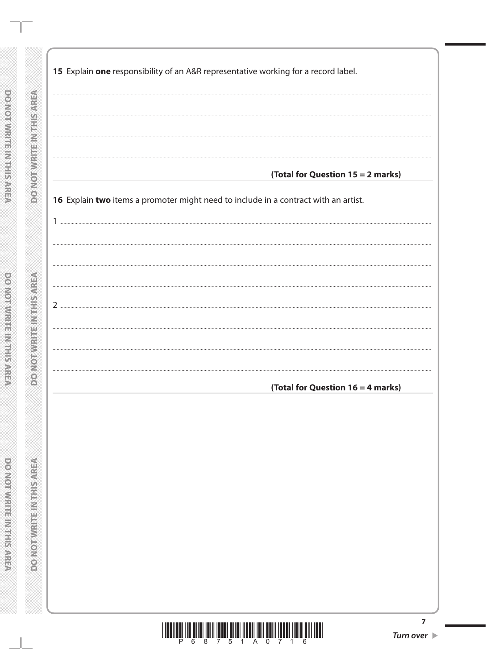|  | (Total for Question 15 = 2 marks)                                                   |  |
|--|-------------------------------------------------------------------------------------|--|
|  | 16 Explain two items a promoter might need to include in a contract with an artist. |  |
|  |                                                                                     |  |
|  |                                                                                     |  |
|  |                                                                                     |  |
|  |                                                                                     |  |
|  |                                                                                     |  |
|  | (Total for Question 16 = 4 marks)                                                   |  |
|  |                                                                                     |  |
|  |                                                                                     |  |
|  |                                                                                     |  |
|  |                                                                                     |  |
|  |                                                                                     |  |
|  |                                                                                     |  |
|  |                                                                                     |  |

**DOMOTWRITE IN THIS AREA** 

**DOMOTIVIER INTERNATION** 

**DOMOTIVIRIUS IN THIS AREA**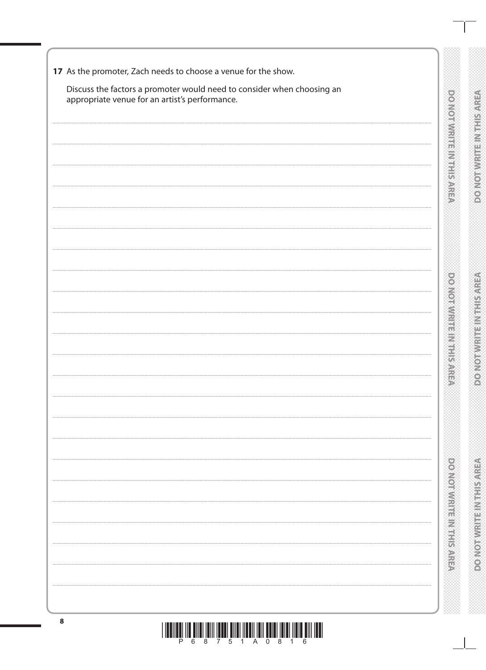| 17 As the promoter, Zach needs to choose a venue for the show.                                                           |                                 |                    |
|--------------------------------------------------------------------------------------------------------------------------|---------------------------------|--------------------|
| Discuss the factors a promoter would need to consider when choosing an<br>appropriate venue for an artist's performance. |                                 |                    |
|                                                                                                                          | <b>DOMORATION ENTIRES</b>       |                    |
|                                                                                                                          | <b>PONTO REPORT DESCRIPTION</b> |                    |
|                                                                                                                          | <b>DOMOROVANO EN MENSION</b>    | <b>MOTRAVERITY</b> |
| 8<br><u> ITIN ITIN DINI INDIN DIN BERKUMPUN INDI BIN ITIN</u><br>Ш<br>P<br>5 1 A<br>0<br>8 1 6<br>6<br>8<br>7            |                                 |                    |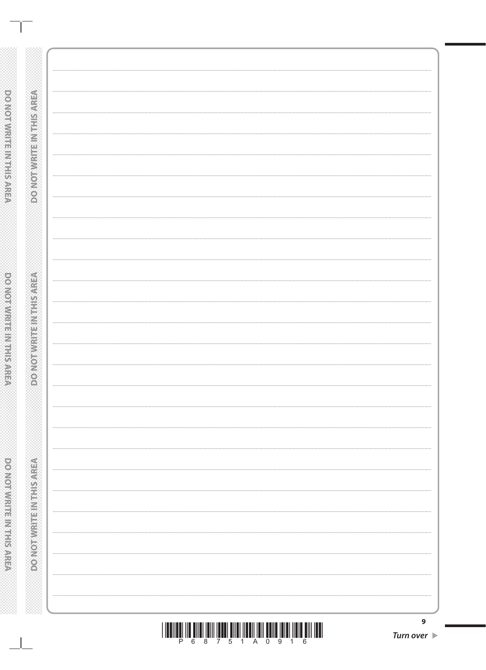| <b>DOMORATION CONSUMERS AND</b> | ī<br>Z<br>îî<br>E<br><b>DOM</b> |  |
|---------------------------------|---------------------------------|--|
| <b>DOMORATION IS NOT SAFE</b>   |                                 |  |
| <b>ONORWICE NEWSLESS</b>        | ⊯<br><b>METHURSONOOD</b>        |  |

 $\mathbb{R}^2$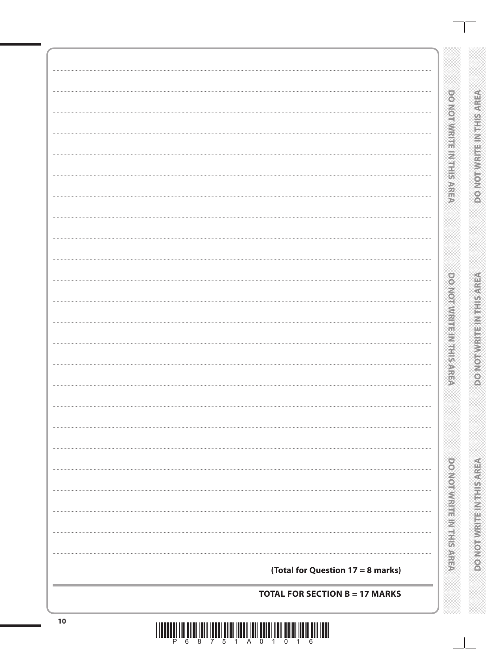|   | ć                                                                                                                                                                                                                                    |
|---|--------------------------------------------------------------------------------------------------------------------------------------------------------------------------------------------------------------------------------------|
|   |                                                                                                                                                                                                                                      |
|   |                                                                                                                                                                                                                                      |
|   |                                                                                                                                                                                                                                      |
|   | $\overline{\phantom{a}}$                                                                                                                                                                                                             |
|   | Z                                                                                                                                                                                                                                    |
|   | ì                                                                                                                                                                                                                                    |
|   | Ì<br>Ì<br>í                                                                                                                                                                                                                          |
|   |                                                                                                                                                                                                                                      |
|   | いへんへんへんへんへん                                                                                                                                                                                                                          |
|   |                                                                                                                                                                                                                                      |
|   | $\overline{a}$<br>ê                                                                                                                                                                                                                  |
|   |                                                                                                                                                                                                                                      |
|   |                                                                                                                                                                                                                                      |
|   | 4<br>J                                                                                                                                                                                                                               |
|   | $\overline{\phantom{a}}$                                                                                                                                                                                                             |
|   |                                                                                                                                                                                                                                      |
|   | S S S S S<br>'n<br>í<br>ŭ                                                                                                                                                                                                            |
|   |                                                                                                                                                                                                                                      |
|   | $\overline{a}$                                                                                                                                                                                                                       |
|   |                                                                                                                                                                                                                                      |
|   |                                                                                                                                                                                                                                      |
|   | Į<br>ׇ֦֘֝                                                                                                                                                                                                                            |
|   | ì<br>ś                                                                                                                                                                                                                               |
|   | $\overline{\phantom{a}}$                                                                                                                                                                                                             |
|   | $\overline{a}$                                                                                                                                                                                                                       |
|   | Ì                                                                                                                                                                                                                                    |
|   |                                                                                                                                                                                                                                      |
|   | I                                                                                                                                                                                                                                    |
|   |                                                                                                                                                                                                                                      |
|   |                                                                                                                                                                                                                                      |
|   | Í                                                                                                                                                                                                                                    |
|   |                                                                                                                                                                                                                                      |
|   | į                                                                                                                                                                                                                                    |
|   | ì                                                                                                                                                                                                                                    |
|   | j                                                                                                                                                                                                                                    |
|   | $\overline{\phantom{a}}$                                                                                                                                                                                                             |
|   |                                                                                                                                                                                                                                      |
|   |                                                                                                                                                                                                                                      |
|   |                                                                                                                                                                                                                                      |
|   |                                                                                                                                                                                                                                      |
|   | - へんへんへんへんへんへんへんへん<br>$\overline{\phantom{a}}$                                                                                                                                                                                       |
|   | ヘヘヘヘ                                                                                                                                                                                                                                 |
|   |                                                                                                                                                                                                                                      |
|   |                                                                                                                                                                                                                                      |
|   | l<br>١                                                                                                                                                                                                                               |
|   | u                                                                                                                                                                                                                                    |
|   | יונים בין הוא המונח המונח המונח המונח המונח המונח המונח המונח המונח המונח המונח המונח המונח המונח המונח המונח<br>המונח המונח המונח המונח המונח המונח המונח המונח המונח המונח המונח המונח המונח המונח המונח המונח המונח המונח המ<br>I |
|   |                                                                                                                                                                                                                                      |
|   |                                                                                                                                                                                                                                      |
|   | i                                                                                                                                                                                                                                    |
|   | $\overline{\phantom{a}}$                                                                                                                                                                                                             |
|   |                                                                                                                                                                                                                                      |
|   |                                                                                                                                                                                                                                      |
|   | ハハハハハハハハ                                                                                                                                                                                                                             |
|   | $\overline{a}$                                                                                                                                                                                                                       |
|   | いへんへんへんへんへんへん                                                                                                                                                                                                                        |
|   |                                                                                                                                                                                                                                      |
|   |                                                                                                                                                                                                                                      |
|   |                                                                                                                                                                                                                                      |
|   |                                                                                                                                                                                                                                      |
|   |                                                                                                                                                                                                                                      |
|   | $\overline{\phantom{a}}$                                                                                                                                                                                                             |
|   |                                                                                                                                                                                                                                      |
|   |                                                                                                                                                                                                                                      |
|   |                                                                                                                                                                                                                                      |
|   |                                                                                                                                                                                                                                      |
|   | ċ                                                                                                                                                                                                                                    |
|   |                                                                                                                                                                                                                                      |
|   |                                                                                                                                                                                                                                      |
|   | $\sim$ $\sim$ $\sim$                                                                                                                                                                                                                 |
|   |                                                                                                                                                                                                                                      |
|   |                                                                                                                                                                                                                                      |
|   |                                                                                                                                                                                                                                      |
|   |                                                                                                                                                                                                                                      |
|   |                                                                                                                                                                                                                                      |
|   | ׇ֦֘֡<br>è<br>×                                                                                                                                                                                                                       |
|   |                                                                                                                                                                                                                                      |
|   |                                                                                                                                                                                                                                      |
|   | ĺ                                                                                                                                                                                                                                    |
|   | $\overline{a}$                                                                                                                                                                                                                       |
|   |                                                                                                                                                                                                                                      |
|   | í                                                                                                                                                                                                                                    |
|   |                                                                                                                                                                                                                                      |
|   |                                                                                                                                                                                                                                      |
|   |                                                                                                                                                                                                                                      |
|   | Ì<br>J<br>١                                                                                                                                                                                                                          |
|   | $\overline{\phantom{a}}$<br>ś                                                                                                                                                                                                        |
|   | ij                                                                                                                                                                                                                                   |
|   | í                                                                                                                                                                                                                                    |
|   | くくへんへんへんへんへんへんへんへん                                                                                                                                                                                                                   |
|   | I                                                                                                                                                                                                                                    |
|   |                                                                                                                                                                                                                                      |
|   |                                                                                                                                                                                                                                      |
|   | è<br>j                                                                                                                                                                                                                               |
|   | à                                                                                                                                                                                                                                    |
|   |                                                                                                                                                                                                                                      |
|   |                                                                                                                                                                                                                                      |
|   | Ì                                                                                                                                                                                                                                    |
|   | ۱                                                                                                                                                                                                                                    |
| í |                                                                                                                                                                                                                                      |
|   | $\overline{\phantom{a}}$                                                                                                                                                                                                             |
|   | ヘヘヘヘヘヘヘ                                                                                                                                                                                                                              |
|   | ì<br>Í                                                                                                                                                                                                                               |
|   |                                                                                                                                                                                                                                      |
|   | i<br>S<br>ì                                                                                                                                                                                                                          |
|   |                                                                                                                                                                                                                                      |
|   |                                                                                                                                                                                                                                      |
|   |                                                                                                                                                                                                                                      |
|   |                                                                                                                                                                                                                                      |
|   |                                                                                                                                                                                                                                      |
|   |                                                                                                                                                                                                                                      |
|   | Í                                                                                                                                                                                                                                    |
|   |                                                                                                                                                                                                                                      |
|   |                                                                                                                                                                                                                                      |
|   | Í                                                                                                                                                                                                                                    |
|   |                                                                                                                                                                                                                                      |
|   | ١                                                                                                                                                                                                                                    |
|   | ð                                                                                                                                                                                                                                    |
|   |                                                                                                                                                                                                                                      |
|   | ĭ<br>١                                                                                                                                                                                                                               |
|   |                                                                                                                                                                                                                                      |
|   | ì                                                                                                                                                                                                                                    |
|   |                                                                                                                                                                                                                                      |
|   |                                                                                                                                                                                                                                      |
|   |                                                                                                                                                                                                                                      |

**DOOTMARTE MEETHS AREA** postostine and the state of **PONOTIVE RESIDENCES** (Total for Question 17 = 8 marks) **TOTAL FOR SECTION B = 17 MARKS** 

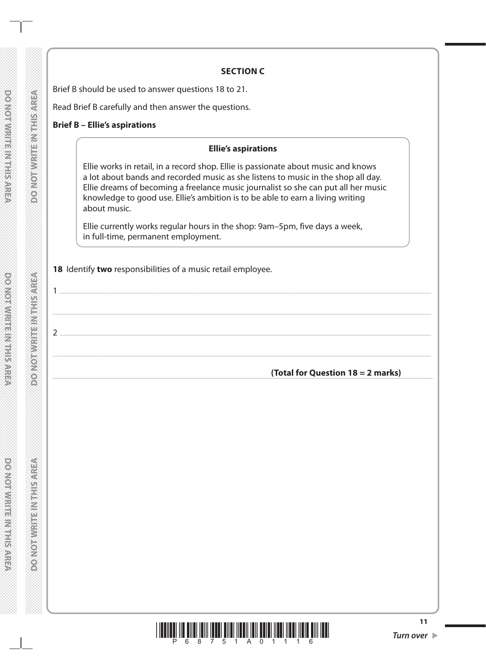Brief B should be used to answer questions 18 to 21.

Read Brief B carefully and then answer the questions.

## **Brief B – Ellie's aspirations**

### **Ellie's aspirations**

Ellie works in retail, in a record shop. Ellie is passionate about music and knows a lot about bands and recorded music as she listens to music in the shop all day. Ellie dreams of becoming a freelance music journalist so she can put all her music knowledge to good use. Ellie's ambition is to be able to earn a living writing about music.

....................................................................................................................................................................................................................................................................................

....................................................................................................................................................................................................................................................................................

Ellie currently works regular hours in the shop: 9am–5pm, five days a week, in full-time, permanent employment.

 $\overline{1}$ 

 $2$  . The contract of the contract of the contract of the contract of the contract of the contract of the contract of the contract of the contract of the contract of the contract of the contract of the contract of the con

**18** Identify **two** responsibilities of a music retail employee.

# **(Total for Question 18 = 2 marks)**



**DONORUS BRITISH DONOR** 

**DO NOT WRITE IN THIS AREA DO NOT WRITE IN THIS AREA DO NOT WRITE IN THIS AREA**

ő<br>Ö

**MORNWRITERN THIS MEET** 

**MERICAN CHERAL PRODUCT**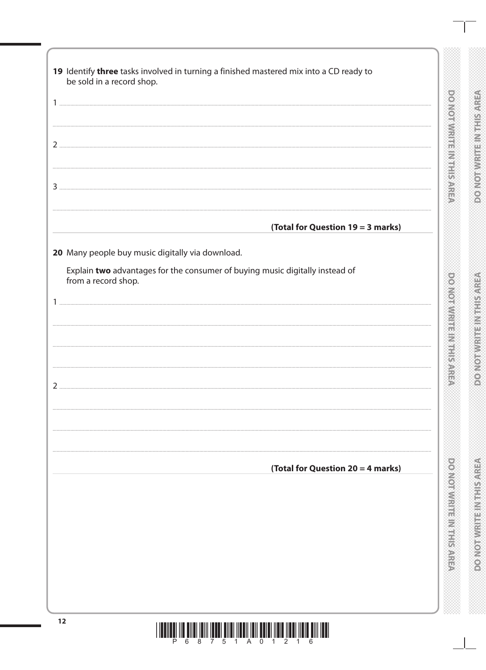| 19 Identify three tasks involved in turning a finished mastered mix into a CD ready to<br>be sold in a record shop.<br>1<br>3 | provident the Market State           |        |
|-------------------------------------------------------------------------------------------------------------------------------|--------------------------------------|--------|
| (Total for Question 19 = 3 marks)                                                                                             |                                      |        |
| 20 Many people buy music digitally via download.                                                                              |                                      |        |
| Explain two advantages for the consumer of buying music digitally instead of<br>from a record shop.                           | Š<br><b>NO. AND IN STREET ASSESS</b> | l<br>C |
| (Total for Question 20 = 4 marks)                                                                                             | <b>POSTORIO NE ESTADO NO PERSO</b>   |        |

**XXXXX** 

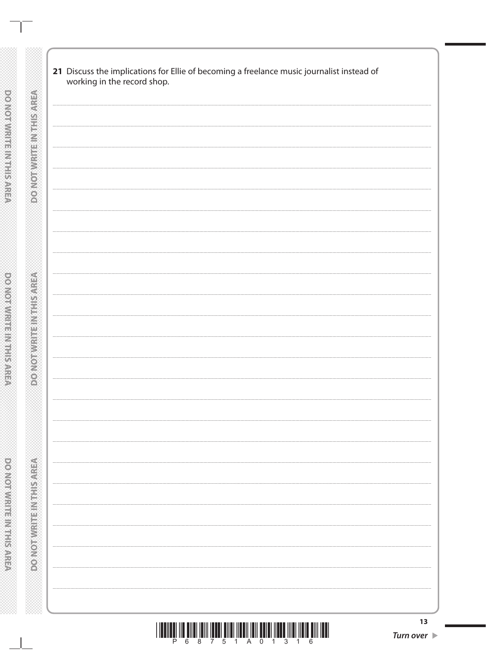| working in the record shop. | 21 Discuss the implications for Ellie of becoming a freelance music journalist instead of |                                       |
|-----------------------------|-------------------------------------------------------------------------------------------|---------------------------------------|
|                             |                                                                                           |                                       |
|                             |                                                                                           |                                       |
|                             |                                                                                           |                                       |
|                             |                                                                                           |                                       |
|                             |                                                                                           |                                       |
|                             |                                                                                           |                                       |
|                             |                                                                                           |                                       |
|                             |                                                                                           |                                       |
|                             |                                                                                           |                                       |
|                             |                                                                                           |                                       |
| $\ddotsc$                   |                                                                                           |                                       |
|                             |                                                                                           |                                       |
|                             |                                                                                           |                                       |
|                             |                                                                                           |                                       |
|                             |                                                                                           |                                       |
|                             |                                                                                           |                                       |
|                             |                                                                                           |                                       |
|                             |                                                                                           |                                       |
|                             |                                                                                           |                                       |
|                             |                                                                                           |                                       |
|                             |                                                                                           |                                       |
|                             |                                                                                           |                                       |
|                             |                                                                                           |                                       |
|                             |                                                                                           |                                       |
|                             |                                                                                           | 13<br>Turn over $\blacktriangleright$ |

 $\blacksquare$ 

po Norwrania Militara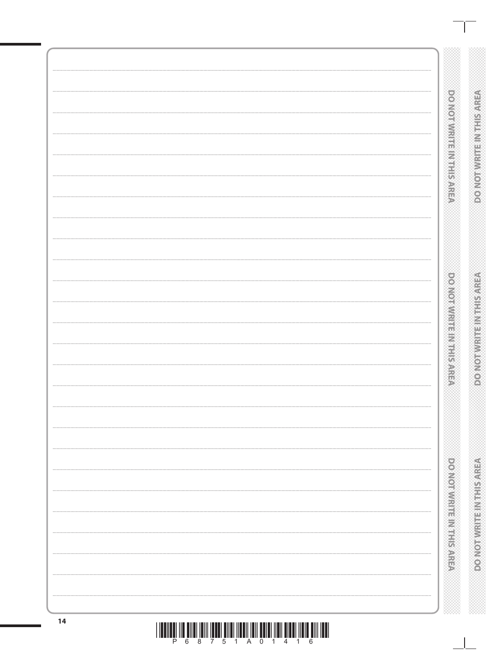| U<br>O      |                                      |
|-------------|--------------------------------------|
| ed<br>Za    |                                      |
|             | <b>PONOTAWER NEEDSAFER</b>           |
|             |                                      |
|             |                                      |
|             |                                      |
|             |                                      |
|             |                                      |
|             |                                      |
|             |                                      |
|             |                                      |
|             |                                      |
|             | <b>PORTORY HER MEETING CONTROL</b>   |
|             |                                      |
|             |                                      |
|             |                                      |
|             |                                      |
|             |                                      |
| <b>DONG</b> |                                      |
|             |                                      |
|             |                                      |
|             |                                      |
|             | <b>MERING IN REPORT ON THE STATE</b> |
|             |                                      |
|             |                                      |
|             |                                      |

# $\begin{array}{c} \vspace{2mm} \begin{array}{c} \vspace{2mm} \begin{array}{c} \vspace{2mm} \begin{array}{c} \vspace{2mm} \end{array} \\ \vspace{2mm} \end{array} \\ \vspace{2mm} \begin{array}{c} \vspace{2mm} \begin{array}{c} \vspace{2mm} \end{array} \\ \vspace{2mm} \end{array} \\ \vspace{2mm} \begin{array}{c} \vspace{2mm} \begin{array}{c} \vspace{2mm} \end{array} \\ \vspace{2mm} \end{array} \\ \vspace{2mm} \begin{array}{c} \vspace{2mm} \begin{array}{c} \vspace{2mm} \end$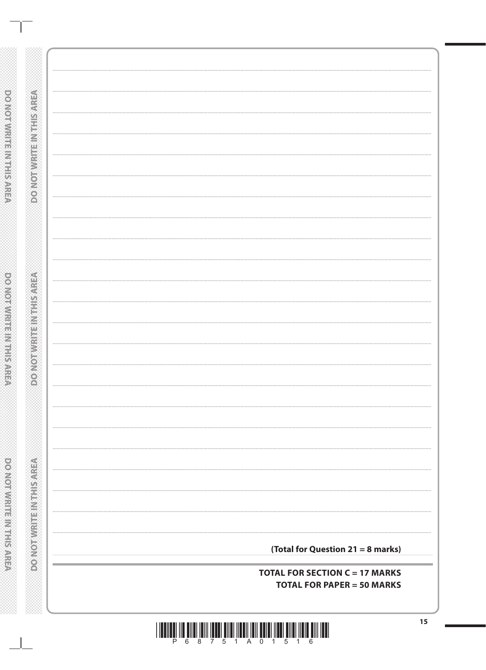| Ō<br><b>DONOIAMEEMINGS</b><br>ŷ,                                   |  |
|--------------------------------------------------------------------|--|
|                                                                    |  |
| <b>DOMORATION IS A PROPER</b><br>Ž                                 |  |
| <b>THIS AREA</b><br><b>ONOINNAISENNAISON</b><br><b>MELINARDINO</b> |  |

 $\overline{\phantom{a}}$ 

 $\Box\Box$